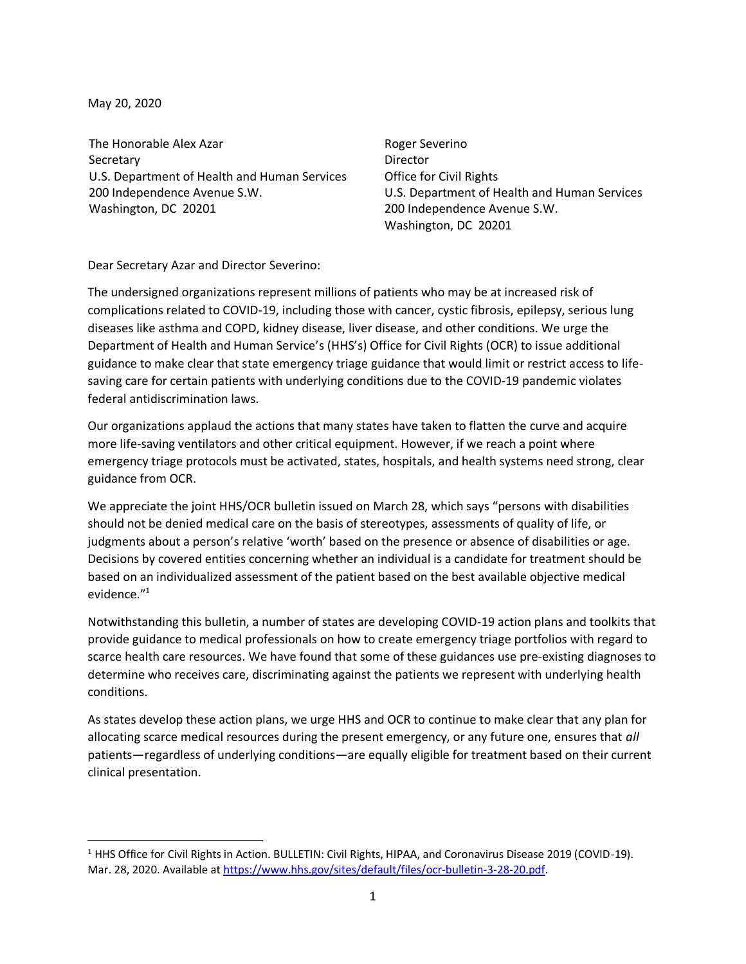May 20, 2020

The Honorable Alex Azar Secretary U.S. Department of Health and Human Services 200 Independence Avenue S.W. Washington, DC 20201

Roger Severino Director Office for Civil Rights U.S. Department of Health and Human Services 200 Independence Avenue S.W. Washington, DC 20201

Dear Secretary Azar and Director Severino:

The undersigned organizations represent millions of patients who may be at increased risk of complications related to COVID-19, including those with cancer, cystic fibrosis, epilepsy, serious lung diseases like asthma and COPD, kidney disease, liver disease, and other conditions. We urge the Department of Health and Human Service's (HHS's) Office for Civil Rights (OCR) to issue additional guidance to make clear that state emergency triage guidance that would limit or restrict access to lifesaving care for certain patients with underlying conditions due to the COVID-19 pandemic violates federal antidiscrimination laws.

Our organizations applaud the actions that many states have taken to flatten the curve and acquire more life-saving ventilators and other critical equipment. However, if we reach a point where emergency triage protocols must be activated, states, hospitals, and health systems need strong, clear guidance from OCR.

We appreciate the joint HHS/OCR bulletin issued on March 28, which says "persons with disabilities should not be denied medical care on the basis of stereotypes, assessments of quality of life, or judgments about a person's relative 'worth' based on the presence or absence of disabilities or age. Decisions by covered entities concerning whether an individual is a candidate for treatment should be based on an individualized assessment of the patient based on the best available objective medical evidence."<sup>1</sup>

Notwithstanding this bulletin, a number of states are developing COVID-19 action plans and toolkits that provide guidance to medical professionals on how to create emergency triage portfolios with regard to scarce health care resources. We have found that some of these guidances use pre-existing diagnoses to determine who receives care, discriminating against the patients we represent with underlying health conditions.

As states develop these action plans, we urge HHS and OCR to continue to make clear that any plan for allocating scarce medical resources during the present emergency, or any future one, ensures that *all* patients—regardless of underlying conditions—are equally eligible for treatment based on their current clinical presentation.

<sup>&</sup>lt;sup>1</sup> HHS Office for Civil Rights in Action. BULLETIN: Civil Rights, HIPAA, and Coronavirus Disease 2019 (COVID-19). Mar. 28, 2020. Available a[t https://www.hhs.gov/sites/default/files/ocr-bulletin-3-28-20.pdf.](https://www.hhs.gov/sites/default/files/ocr-bulletin-3-28-20.pdf)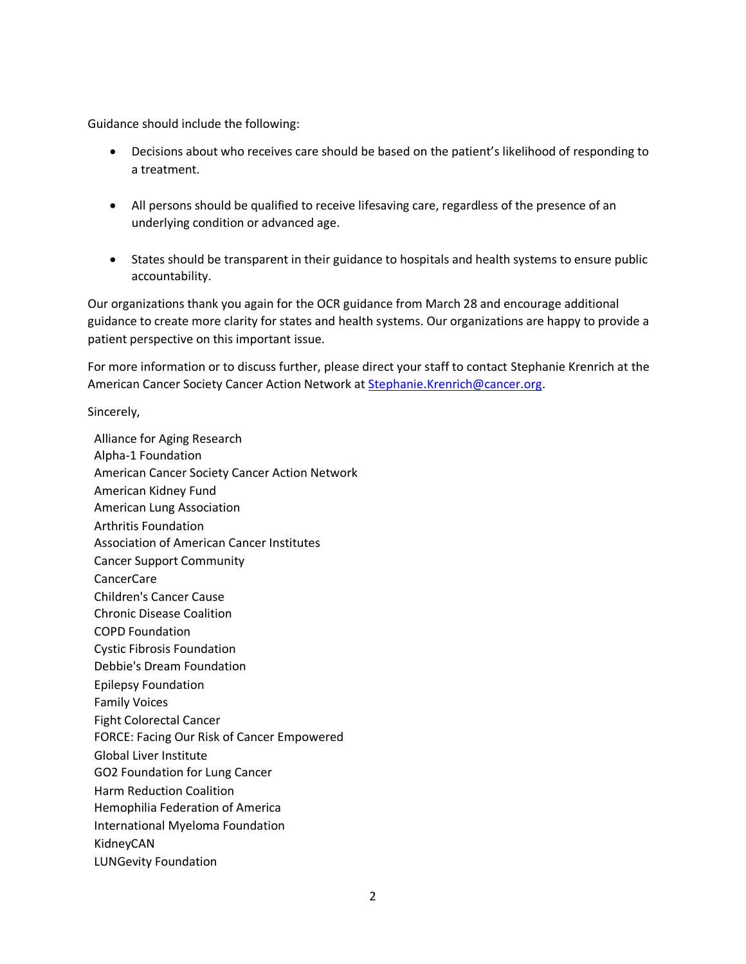Guidance should include the following:

- Decisions about who receives care should be based on the patient's likelihood of responding to a treatment.
- All persons should be qualified to receive lifesaving care, regardless of the presence of an underlying condition or advanced age.
- States should be transparent in their guidance to hospitals and health systems to ensure public accountability.

Our organizations thank you again for the OCR guidance from March 28 and encourage additional guidance to create more clarity for states and health systems. Our organizations are happy to provide a patient perspective on this important issue.

For more information or to discuss further, please direct your staff to contact Stephanie Krenrich at the American Cancer Society Cancer Action Network at [Stephanie.Krenrich@cancer.org.](mailto:Stephanie.Krenrich@cancer.org)

Sincerely,

Alliance for Aging Research Alpha-1 Foundation American Cancer Society Cancer Action Network American Kidney Fund American Lung Association Arthritis Foundation Association of American Cancer Institutes Cancer Support Community CancerCare Children's Cancer Cause Chronic Disease Coalition COPD Foundation Cystic Fibrosis Foundation Debbie's Dream Foundation Epilepsy Foundation Family Voices Fight Colorectal Cancer FORCE: Facing Our Risk of Cancer Empowered Global Liver Institute GO2 Foundation for Lung Cancer Harm Reduction Coalition Hemophilia Federation of America International Myeloma Foundation KidneyCAN LUNGevity Foundation